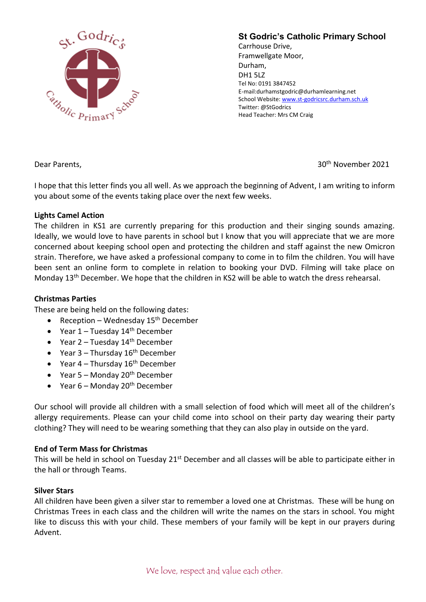

# **St Godric's Catholic Primary School**

Carrhouse Drive, Framwellgate Moor, Durham, DH1 5LZ Tel No: 0191 3847452 E-mail:durhamstgodric@durhamlearning.net School Website[: www.st-godricsrc.durham.sch.uk](http://www.st-godricsrc.durham.sch.uk/) Twitter: @StGodrics Head Teacher: Mrs CM Craig

Dear Parents, 30th November 2021

I hope that this letter finds you all well. As we approach the beginning of Advent, I am writing to inform you about some of the events taking place over the next few weeks.

### **Lights Camel Action**

The children in KS1 are currently preparing for this production and their singing sounds amazing. Ideally, we would love to have parents in school but I know that you will appreciate that we are more concerned about keeping school open and protecting the children and staff against the new Omicron strain. Therefore, we have asked a professional company to come in to film the children. You will have been sent an online form to complete in relation to booking your DVD. Filming will take place on Monday 13th December. We hope that the children in KS2 will be able to watch the dress rehearsal.

### **Christmas Parties**

These are being held on the following dates:

- Reception Wednesday  $15<sup>th</sup>$  December
- Year  $1 -$  Tuesday  $14<sup>th</sup>$  December
- Year  $2$  Tuesday  $14<sup>th</sup>$  December
- Year 3 Thursday 16<sup>th</sup> December
- Year  $4$  Thursday  $16^{th}$  December
- Year  $5 -$  Monday 20<sup>th</sup> December
- Year  $6$  Monday 20<sup>th</sup> December

Our school will provide all children with a small selection of food which will meet all of the children's allergy requirements. Please can your child come into school on their party day wearing their party clothing? They will need to be wearing something that they can also play in outside on the yard.

# **End of Term Mass for Christmas**

This will be held in school on Tuesday 21<sup>st</sup> December and all classes will be able to participate either in the hall or through Teams.

# **Silver Stars**

All children have been given a silver star to remember a loved one at Christmas. These will be hung on Christmas Trees in each class and the children will write the names on the stars in school. You might like to discuss this with your child. These members of your family will be kept in our prayers during Advent.